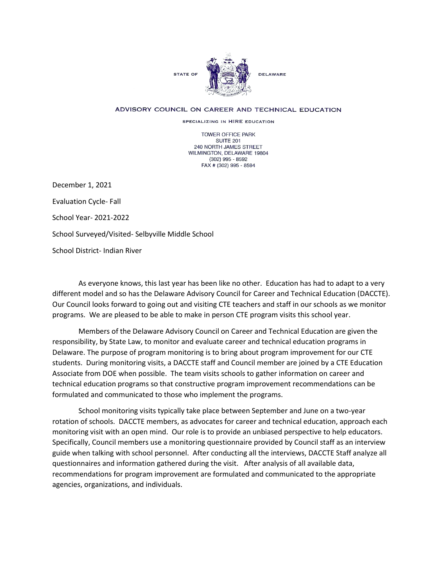

## ADVISORY COUNCIL ON CAREER AND TECHNICAL EDUCATION

SPECIALIZING IN HIRE EDUCATION

TOWER OFFICE PARK SUITE 201 240 NORTH JAMES STREET WILMINGTON, DELAWARE 19804 (302) 995 - 8592 FAX # (302) 995 - 8594

December 1, 2021 Evaluation Cycle- Fall School Year- 2021-2022 School Surveyed/Visited- Selbyville Middle School School District- Indian River

As everyone knows, this last year has been like no other. Education has had to adapt to a very different model and so has the Delaware Advisory Council for Career and Technical Education (DACCTE). Our Council looks forward to going out and visiting CTE teachers and staff in our schools as we monitor programs. We are pleased to be able to make in person CTE program visits this school year.

Members of the Delaware Advisory Council on Career and Technical Education are given the responsibility, by State Law, to monitor and evaluate career and technical education programs in Delaware. The purpose of program monitoring is to bring about program improvement for our CTE students. During monitoring visits, a DACCTE staff and Council member are joined by a CTE Education Associate from DOE when possible. The team visits schools to gather information on career and technical education programs so that constructive program improvement recommendations can be formulated and communicated to those who implement the programs.

School monitoring visits typically take place between September and June on a two-year rotation of schools. DACCTE members, as advocates for career and technical education, approach each monitoring visit with an open mind. Our role is to provide an unbiased perspective to help educators. Specifically, Council members use a monitoring questionnaire provided by Council staff as an interview guide when talking with school personnel. After conducting all the interviews, DACCTE Staff analyze all questionnaires and information gathered during the visit. After analysis of all available data, recommendations for program improvement are formulated and communicated to the appropriate agencies, organizations, and individuals.